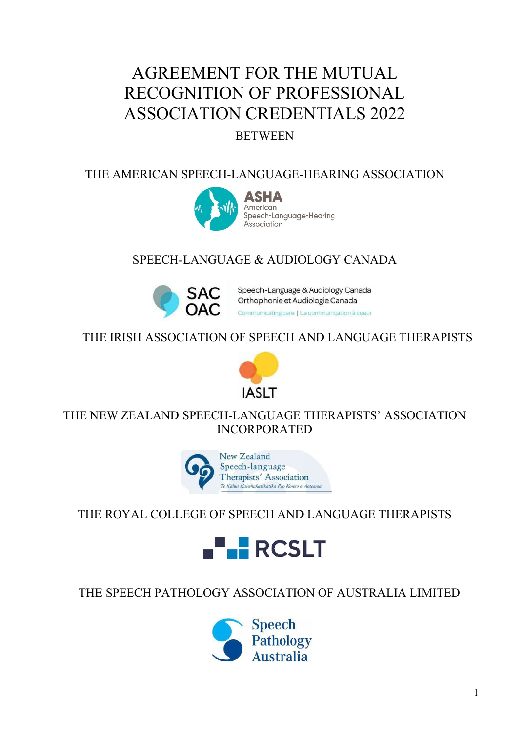# AGREEMENT FOR THE MUTUAL RECOGNITION OF PROFESSIONAL ASSOCIATION CREDENTIALS 2022

## BETWEEN

### THE AMERICAN SPEECH-LANGUAGE-HEARING ASSOCIATION



# SPEECH-LANGUAGE & AUDIOLOGY CANADA



Speech-Language & Audiology Canada Orthophonie et Audiologie Canada Communicating care | La communication à coeur

### THE IRISH ASSOCIATION OF SPEECH AND LANGUAGE THERAPISTS



### THE NEW ZEALAND SPEECH-LANGUAGE THERAPISTS' ASSOCIATION INCORPORATED



## THE ROYAL COLLEGE OF SPEECH AND LANGUAGE THERAPISTS



## THE SPEECH PATHOLOGY ASSOCIATION OF AUSTRALIA LIMITED

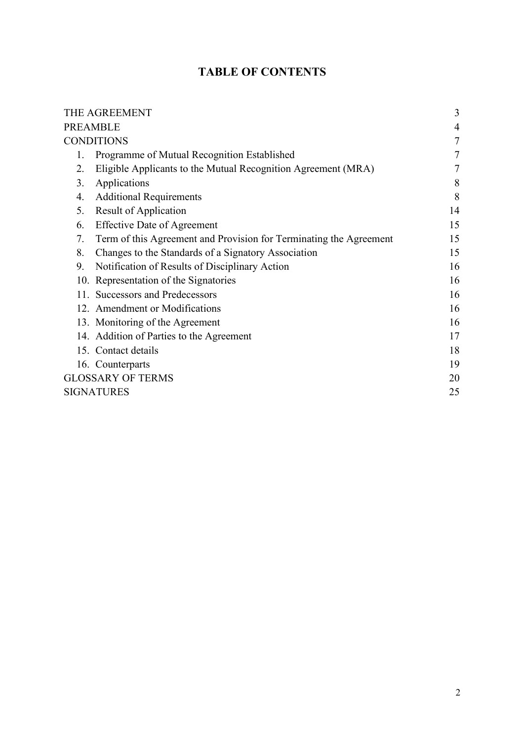### **TABLE OF CONTENTS**

| THE AGREEMENT                                                            | 3  |  |
|--------------------------------------------------------------------------|----|--|
| <b>PREAMBLE</b>                                                          |    |  |
| <b>CONDITIONS</b><br>7                                                   |    |  |
| Programme of Mutual Recognition Established<br>1.                        | 7  |  |
| Eligible Applicants to the Mutual Recognition Agreement (MRA)<br>2.      | 7  |  |
| 3.<br>Applications                                                       | 8  |  |
| <b>Additional Requirements</b><br>4.                                     | 8  |  |
| <b>Result of Application</b><br>5.                                       | 14 |  |
| <b>Effective Date of Agreement</b><br>6.                                 | 15 |  |
| Term of this Agreement and Provision for Terminating the Agreement<br>7. | 15 |  |
| Changes to the Standards of a Signatory Association<br>8.                | 15 |  |
| Notification of Results of Disciplinary Action<br>9.                     | 16 |  |
| 10. Representation of the Signatories                                    | 16 |  |
| 11. Successors and Predecessors                                          | 16 |  |
| 12. Amendment or Modifications                                           | 16 |  |
| 13. Monitoring of the Agreement                                          | 16 |  |
| 14. Addition of Parties to the Agreement                                 | 17 |  |
| 15. Contact details                                                      | 18 |  |
| 16. Counterparts                                                         | 19 |  |
| <b>GLOSSARY OF TERMS</b><br>20                                           |    |  |
| <b>SIGNATURES</b><br>25                                                  |    |  |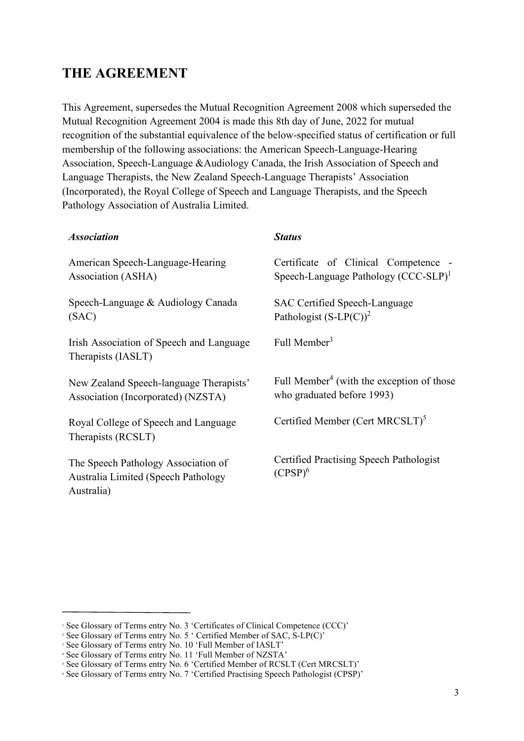## **THE AGREEMENT**

This Agreement, supersedes the Mutual Recognition Agreement 2008 which superseded the Mutual Recognition Agreement 2004 is made this 8th day of June, 2022 for mutual recognition of the substantial equivalence of the below-specified status of certification or full membership of the following associations: the American Speech-Language-Hearing Association, Speech-Language &Audiology Canada, the Irish Association of Speech and Language Therapists, the New Zealand Speech-Language Therapists' Association (Incorporated), the Royal College of Speech and Language Therapists, and the Speech Pathology Association of Australia Limited.

| <b>Association</b>                                                                       | <b>Status</b>                                                                       |
|------------------------------------------------------------------------------------------|-------------------------------------------------------------------------------------|
| American Speech-Language-Hearing<br>Association (ASHA)                                   | Certificate of Clinical Competence -<br>Speech-Language Pathology $(CCC-SLP)^1$     |
| Speech-Language & Audiology Canada<br>(SAC)                                              | SAC Certified Speech-Language<br>Pathologist $(S-LP(C))^2$                          |
| Irish Association of Speech and Language<br>Therapists (IASLT)                           | Full Member <sup>3</sup>                                                            |
| New Zealand Speech-language Therapists'<br>Association (Incorporated) (NZSTA)            | Full Member <sup>4</sup> (with the exception of those<br>who graduated before 1993) |
| Royal College of Speech and Language<br>Therapists (RCSLT)                               | Certified Member (Cert MRCSLT) <sup>5</sup>                                         |
| The Speech Pathology Association of<br>Australia Limited (Speech Pathology<br>Australia) | Certified Practising Speech Pathologist<br>$(CPSP)^6$                               |

<sup>&</sup>lt;sup>1</sup> See Glossary of Terms entry No. 3 'Certificates of Clinical Competence (CCC)'

<sup>&</sup>lt;sup>2</sup> See Glossary of Terms entry No. 5  $\cdot$  Certified Member of SAC, S-LP(C)<sup> $\cdot$ </sup>

<sup>&</sup>lt;sup>3</sup> See Glossary of Terms entry No. 10 'Full Member of IASLT'

<sup>4</sup> See Glossary of Terms entry No. 11 'Full Member of NZSTA'

<sup>&</sup>lt;sup>5</sup> See Glossary of Terms entry No. 6 'Certified Member of RCSLT (Cert MRCSLT)'

<sup>6</sup> See Glossary of Terms entry No. 7 'Certified Practising Speech Pathologist (CPSP)'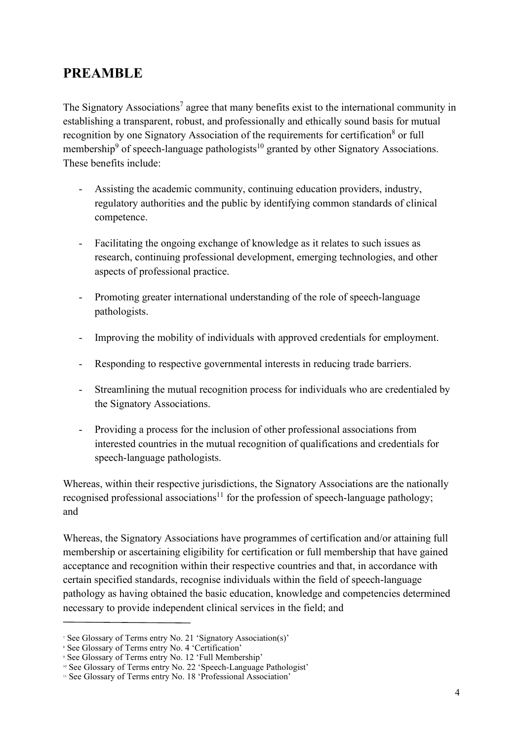### **PREAMBLE**

The Signatory Associations<sup>7</sup> agree that many benefits exist to the international community in establishing a transparent, robust, and professionally and ethically sound basis for mutual recognition by one Signatory Association of the requirements for certification<sup>8</sup> or full membership<sup>9</sup> of speech-language pathologists<sup>10</sup> granted by other Signatory Associations. These benefits include:

- Assisting the academic community, continuing education providers, industry, regulatory authorities and the public by identifying common standards of clinical competence.
- Facilitating the ongoing exchange of knowledge as it relates to such issues as research, continuing professional development, emerging technologies, and other aspects of professional practice.
- Promoting greater international understanding of the role of speech-language pathologists.
- Improving the mobility of individuals with approved credentials for employment.
- Responding to respective governmental interests in reducing trade barriers.
- Streamlining the mutual recognition process for individuals who are credentialed by the Signatory Associations.
- Providing a process for the inclusion of other professional associations from interested countries in the mutual recognition of qualifications and credentials for speech-language pathologists.

Whereas, within their respective jurisdictions, the Signatory Associations are the nationally recognised professional associations<sup>11</sup> for the profession of speech-language pathology; and

Whereas, the Signatory Associations have programmes of certification and/or attaining full membership or ascertaining eligibility for certification or full membership that have gained acceptance and recognition within their respective countries and that, in accordance with certain specified standards, recognise individuals within the field of speech-language pathology as having obtained the basic education, knowledge and competencies determined necessary to provide independent clinical services in the field; and

<sup>7</sup> See Glossary of Terms entry No. 21 'Signatory Association(s)'

<sup>&</sup>lt;sup>8</sup> See Glossary of Terms entry No. 4 'Certification'

<sup>9</sup> See Glossary of Terms entry No. 12 'Full Membership'

<sup>&</sup>lt;sup>10</sup> See Glossary of Terms entry No. 22 'Speech-Language Pathologist'

<sup>&</sup>lt;sup>11</sup> See Glossary of Terms entry No. 18 'Professional Association'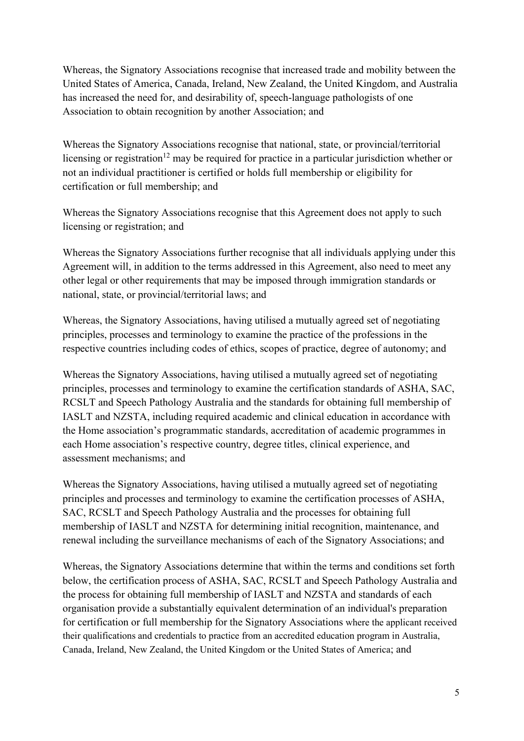Whereas, the Signatory Associations recognise that increased trade and mobility between the United States of America, Canada, Ireland, New Zealand, the United Kingdom, and Australia has increased the need for, and desirability of, speech-language pathologists of one Association to obtain recognition by another Association; and

Whereas the Signatory Associations recognise that national, state, or provincial/territorial licensing or registration<sup>12</sup> may be required for practice in a particular jurisdiction whether or not an individual practitioner is certified or holds full membership or eligibility for certification or full membership; and

Whereas the Signatory Associations recognise that this Agreement does not apply to such licensing or registration; and

Whereas the Signatory Associations further recognise that all individuals applying under this Agreement will, in addition to the terms addressed in this Agreement, also need to meet any other legal or other requirements that may be imposed through immigration standards or national, state, or provincial/territorial laws; and

Whereas, the Signatory Associations, having utilised a mutually agreed set of negotiating principles, processes and terminology to examine the practice of the professions in the respective countries including codes of ethics, scopes of practice, degree of autonomy; and

Whereas the Signatory Associations, having utilised a mutually agreed set of negotiating principles, processes and terminology to examine the certification standards of ASHA, SAC, RCSLT and Speech Pathology Australia and the standards for obtaining full membership of IASLT and NZSTA, including required academic and clinical education in accordance with the Home association's programmatic standards, accreditation of academic programmes in each Home association's respective country, degree titles, clinical experience, and assessment mechanisms; and

Whereas the Signatory Associations, having utilised a mutually agreed set of negotiating principles and processes and terminology to examine the certification processes of ASHA, SAC, RCSLT and Speech Pathology Australia and the processes for obtaining full membership of IASLT and NZSTA for determining initial recognition, maintenance, and renewal including the surveillance mechanisms of each of the Signatory Associations; and

Whereas, the Signatory Associations determine that within the terms and conditions set forth below, the certification process of ASHA, SAC, RCSLT and Speech Pathology Australia and the process for obtaining full membership of IASLT and NZSTA and standards of each organisation provide a substantially equivalent determination of an individual's preparation for certification or full membership for the Signatory Associations where the applicant received their qualifications and credentials to practice from an accredited education program in Australia, Canada, Ireland, New Zealand, the United Kingdom or the United States of America; and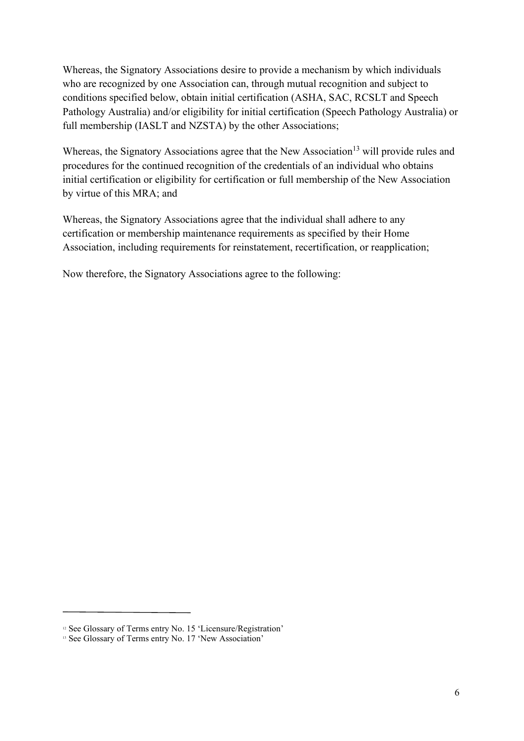Whereas, the Signatory Associations desire to provide a mechanism by which individuals who are recognized by one Association can, through mutual recognition and subject to conditions specified below, obtain initial certification (ASHA, SAC, RCSLT and Speech Pathology Australia) and/or eligibility for initial certification (Speech Pathology Australia) or full membership (IASLT and NZSTA) by the other Associations;

Whereas, the Signatory Associations agree that the New Association<sup>13</sup> will provide rules and procedures for the continued recognition of the credentials of an individual who obtains initial certification or eligibility for certification or full membership of the New Association by virtue of this MRA; and

Whereas, the Signatory Associations agree that the individual shall adhere to any certification or membership maintenance requirements as specified by their Home Association, including requirements for reinstatement, recertification, or reapplication;

Now therefore, the Signatory Associations agree to the following:

<sup>&</sup>lt;sup>12</sup> See Glossary of Terms entry No. 15 'Licensure/Registration'

<sup>&</sup>lt;sup>13</sup> See Glossary of Terms entry No. 17 'New Association'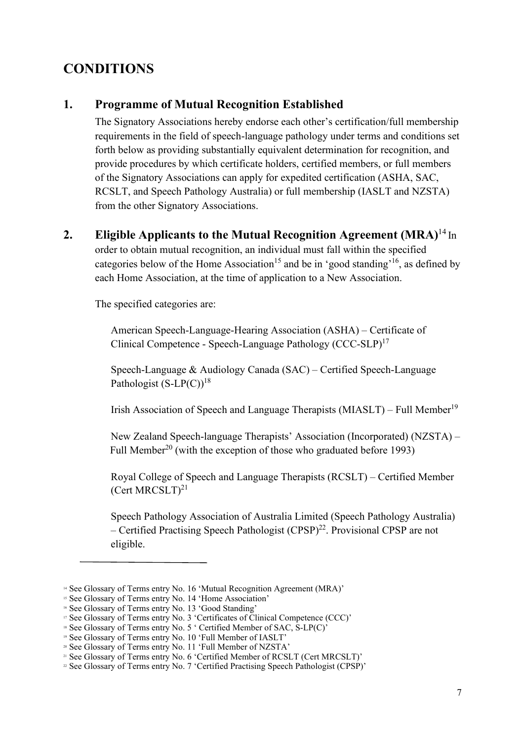### **CONDITIONS**

#### **1. Programme of Mutual Recognition Established**

The Signatory Associations hereby endorse each other's certification/full membership requirements in the field of speech-language pathology under terms and conditions set forth below as providing substantially equivalent determination for recognition, and provide procedures by which certificate holders, certified members, or full members of the Signatory Associations can apply for expedited certification (ASHA, SAC, RCSLT, and Speech Pathology Australia) or full membership (IASLT and NZSTA) from the other Signatory Associations.

#### **2. Eligible Applicants to the Mutual Recognition Agreement (MRA)**<sup>14</sup> In

order to obtain mutual recognition, an individual must fall within the specified categories below of the Home Association<sup>15</sup> and be in 'good standing'<sup>16</sup>, as defined by each Home Association, at the time of application to a New Association.

The specified categories are:

American Speech-Language-Hearing Association (ASHA) – Certificate of Clinical Competence - Speech-Language Pathology (CCC-SLP)17

Speech-Language & Audiology Canada (SAC) – Certified Speech-Language Pathologist  $(S-LP(C))$ <sup>18</sup>

Irish Association of Speech and Language Therapists (MIASLT) – Full Member<sup>19</sup>

New Zealand Speech-language Therapists' Association (Incorporated) (NZSTA) – Full Member<sup>20</sup> (with the exception of those who graduated before 1993)

Royal College of Speech and Language Therapists (RCSLT) – Certified Member (Cert MRCSLT) $^{21}$ 

Speech Pathology Association of Australia Limited (Speech Pathology Australia) – Certified Practising Speech Pathologist  $(CPSP)^{22}$ . Provisional CPSP are not eligible.

<sup>&</sup>lt;sup>14</sup> See Glossary of Terms entry No. 16 'Mutual Recognition Agreement (MRA)'

<sup>&</sup>lt;sup>15</sup> See Glossary of Terms entry No. 14 'Home Association'

<sup>&</sup>lt;sup>16</sup> See Glossary of Terms entry No. 13 'Good Standing'

<sup>&</sup>lt;sup>17</sup> See Glossary of Terms entry No. 3 'Certificates of Clinical Competence (CCC)'

<sup>&</sup>lt;sup>18</sup> See Glossary of Terms entry No. 5 ' Certified Member of SAC, S-LP(C)'

<sup>19</sup> See Glossary of Terms entry No. 10 'Full Member of IASLT'

<sup>20</sup> See Glossary of Terms entry No. 11 'Full Member of NZSTA'

<sup>&</sup>lt;sup>21</sup> See Glossary of Terms entry No. 6 'Certified Member of RCSLT (Cert MRCSLT)'

<sup>&</sup>lt;sup>22</sup> See Glossary of Terms entry No. 7 'Certified Practising Speech Pathologist (CPSP)'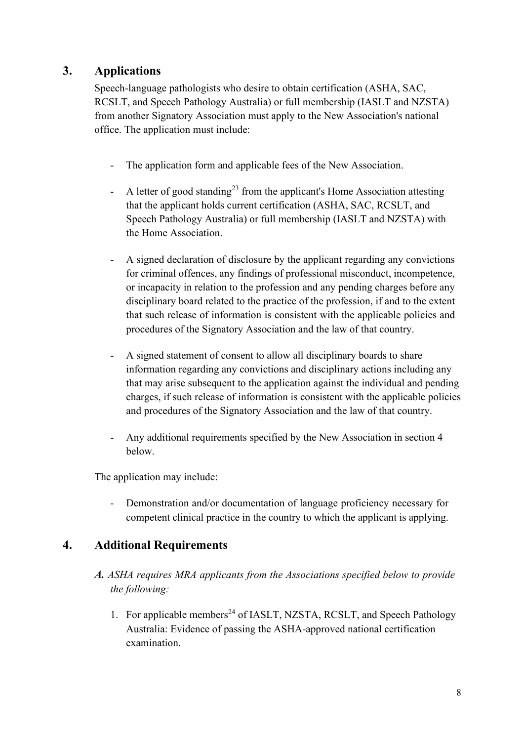### **3. Applications**

Speech-language pathologists who desire to obtain certification (ASHA, SAC, RCSLT, and Speech Pathology Australia) or full membership (IASLT and NZSTA) from another Signatory Association must apply to the New Association's national office. The application must include:

- The application form and applicable fees of the New Association.
- A letter of good standing<sup>23</sup> from the applicant's Home Association attesting that the applicant holds current certification (ASHA, SAC, RCSLT, and Speech Pathology Australia) or full membership (IASLT and NZSTA) with the Home Association.
- A signed declaration of disclosure by the applicant regarding any convictions for criminal offences, any findings of professional misconduct, incompetence, or incapacity in relation to the profession and any pending charges before any disciplinary board related to the practice of the profession, if and to the extent that such release of information is consistent with the applicable policies and procedures of the Signatory Association and the law of that country.
- A signed statement of consent to allow all disciplinary boards to share information regarding any convictions and disciplinary actions including any that may arise subsequent to the application against the individual and pending charges, if such release of information is consistent with the applicable policies and procedures of the Signatory Association and the law of that country.
- Any additional requirements specified by the New Association in section 4 below.

The application may include:

Demonstration and/or documentation of language proficiency necessary for competent clinical practice in the country to which the applicant is applying.

#### **4. Additional Requirements**

- *A. ASHA requires MRA applicants from the Associations specified below to provide the following:*
	- 1. For applicable members<sup>24</sup> of IASLT, NZSTA, RCSLT, and Speech Pathology Australia: Evidence of passing the ASHA-approved national certification examination.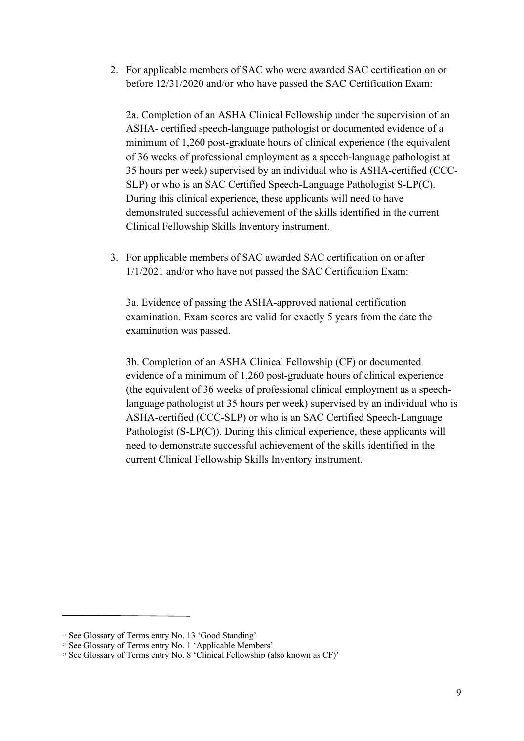2. For applicable members of SAC who were awarded SAC certification on or before 12/31/2020 and/or who have passed the SAC Certification Exam:

2a. Completion of an ASHA Clinical Fellowship under the supervision of an ASHA- certified speech-language pathologist or documented evidence of a minimum of 1,260 post-graduate hours of clinical experience (the equivalent of 36 weeks of professional employment as a speech-language pathologist at 35 hours per week) supervised by an individual who is ASHA-certified (CCC-SLP) or who is an SAC Certified Speech-Language Pathologist S-LP(C). During this clinical experience, these applicants will need to have demonstrated successful achievement of the skills identified in the current Clinical Fellowship Skills Inventory instrument.

3. For applicable members of SAC awarded SAC certification on or after 1/1/2021 and/or who have not passed the SAC Certification Exam:

3a. Evidence of passing the ASHA-approved national certification examination. Exam scores are valid for exactly 5 years from the date the examination was passed.

3b. Completion of an ASHA Clinical Fellowship (CF) or documented evidence of a minimum of 1,260 post-graduate hours of clinical experience (the equivalent of 36 weeks of professional clinical employment as a speechlanguage pathologist at 35 hours per week) supervised by an individual who is ASHA-certified (CCC-SLP) or who is an SAC Certified Speech-Language Pathologist (S-LP(C)). During this clinical experience, these applicants will need to demonstrate successful achievement of the skills identified in the current Clinical Fellowship Skills Inventory instrument.

<sup>&</sup>lt;sup>23</sup> See Glossary of Terms entry No. 13 'Good Standing'

<sup>&</sup>lt;sup>24</sup> See Glossary of Terms entry No. 1 'Applicable Members'

<sup>&</sup>lt;sup>25</sup> See Glossary of Terms entry No. 8 'Clinical Fellowship (also known as CF)'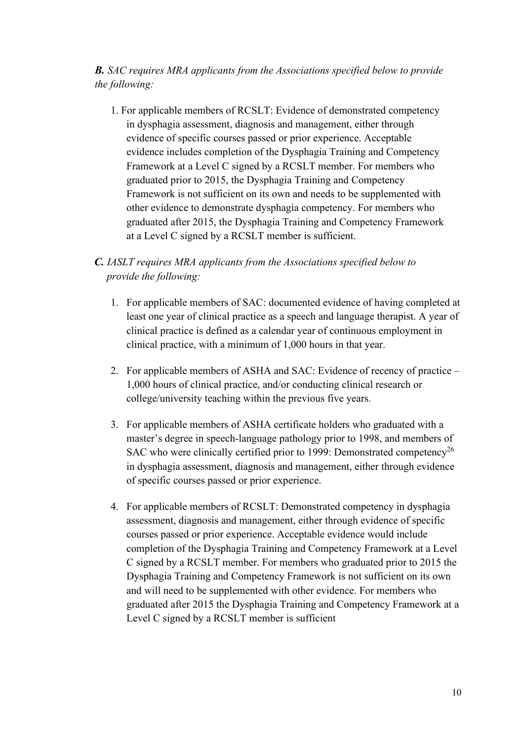#### *B. SAC requires MRA applicants from the Associations specified below to provide the following:*

1. For applicable members of RCSLT: Evidence of demonstrated competency in dysphagia assessment, diagnosis and management, either through evidence of specific courses passed or prior experience. Acceptable evidence includes completion of the Dysphagia Training and Competency Framework at a Level C signed by a RCSLT member. For members who graduated prior to 2015, the Dysphagia Training and Competency Framework is not sufficient on its own and needs to be supplemented with other evidence to demonstrate dysphagia competency. For members who graduated after 2015, the Dysphagia Training and Competency Framework at a Level C signed by a RCSLT member is sufficient.

#### *C. IASLT requires MRA applicants from the Associations specified below to provide the following:*

- 1. For applicable members of SAC: documented evidence of having completed at least one year of clinical practice as a speech and language therapist. A year of clinical practice is defined as a calendar year of continuous employment in clinical practice, with a minimum of 1,000 hours in that year.
- 2. For applicable members of ASHA and SAC: Evidence of recency of practice 1,000 hours of clinical practice, and/or conducting clinical research or college/university teaching within the previous five years.
- 3. For applicable members of ASHA certificate holders who graduated with a master's degree in speech-language pathology prior to 1998, and members of SAC who were clinically certified prior to 1999: Demonstrated competency<sup>26</sup> in dysphagia assessment, diagnosis and management, either through evidence of specific courses passed or prior experience.
- 4. For applicable members of RCSLT: Demonstrated competency in dysphagia assessment, diagnosis and management, either through evidence of specific courses passed or prior experience. Acceptable evidence would include completion of the Dysphagia Training and Competency Framework at a Level C signed by a RCSLT member. For members who graduated prior to 2015 the Dysphagia Training and Competency Framework is not sufficient on its own and will need to be supplemented with other evidence. For members who graduated after 2015 the Dysphagia Training and Competency Framework at a Level C signed by a RCSLT member is sufficient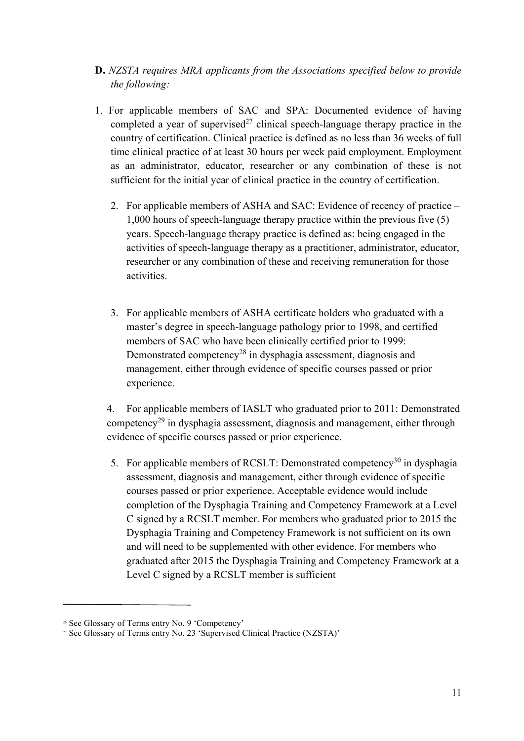- **D.** *NZSTA requires MRA applicants from the Associations specified below to provide the following:*
- 1. For applicable members of SAC and SPA: Documented evidence of having completed a year of supervised<sup>27</sup> clinical speech-language therapy practice in the country of certification. Clinical practice is defined as no less than 36 weeks of full time clinical practice of at least 30 hours per week paid employment. Employment as an administrator, educator, researcher or any combination of these is not sufficient for the initial year of clinical practice in the country of certification.
	- 2. For applicable members of ASHA and SAC: Evidence of recency of practice 1,000 hours of speech-language therapy practice within the previous five (5) years. Speech-language therapy practice is defined as: being engaged in the activities of speech-language therapy as a practitioner, administrator, educator, researcher or any combination of these and receiving remuneration for those activities.
	- 3. For applicable members of ASHA certificate holders who graduated with a master's degree in speech-language pathology prior to 1998, and certified members of SAC who have been clinically certified prior to 1999: Demonstrated competency<sup>28</sup> in dysphagia assessment, diagnosis and management, either through evidence of specific courses passed or prior experience.

4. For applicable members of IASLT who graduated prior to 2011: Demonstrated competency29 in dysphagia assessment, diagnosis and management, either through evidence of specific courses passed or prior experience.

5. For applicable members of RCSLT: Demonstrated competency<sup>30</sup> in dysphagia assessment, diagnosis and management, either through evidence of specific courses passed or prior experience. Acceptable evidence would include completion of the Dysphagia Training and Competency Framework at a Level C signed by a RCSLT member. For members who graduated prior to 2015 the Dysphagia Training and Competency Framework is not sufficient on its own and will need to be supplemented with other evidence. For members who graduated after 2015 the Dysphagia Training and Competency Framework at a Level C signed by a RCSLT member is sufficient

<sup>26</sup> See Glossary of Terms entry No. 9 'Competency'

<sup>&</sup>lt;sup>27</sup> See Glossary of Terms entry No. 23 'Supervised Clinical Practice (NZSTA)'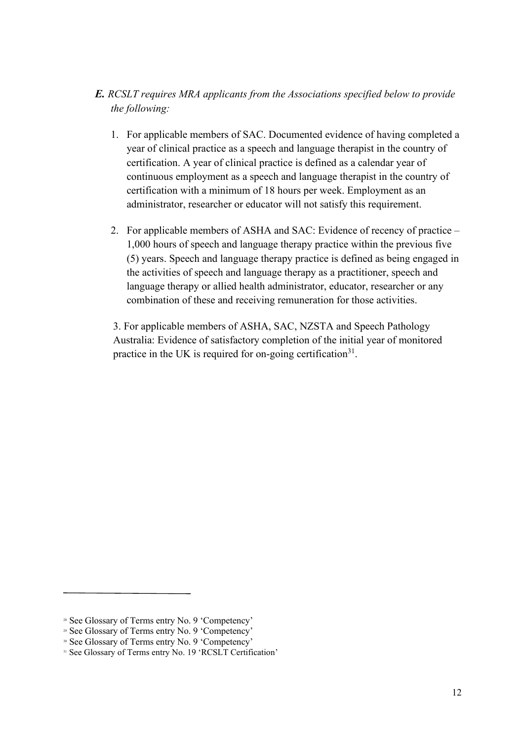- *E. RCSLT requires MRA applicants from the Associations specified below to provide the following:*
	- 1. For applicable members of SAC. Documented evidence of having completed a year of clinical practice as a speech and language therapist in the country of certification. A year of clinical practice is defined as a calendar year of continuous employment as a speech and language therapist in the country of certification with a minimum of 18 hours per week. Employment as an administrator, researcher or educator will not satisfy this requirement.
	- 2. For applicable members of ASHA and SAC: Evidence of recency of practice 1,000 hours of speech and language therapy practice within the previous five (5) years. Speech and language therapy practice is defined as being engaged in the activities of speech and language therapy as a practitioner, speech and language therapy or allied health administrator, educator, researcher or any combination of these and receiving remuneration for those activities.

3. For applicable members of ASHA, SAC, NZSTA and Speech Pathology Australia: Evidence of satisfactory completion of the initial year of monitored practice in the UK is required for on-going certification<sup>31</sup>.

<sup>28</sup> See Glossary of Terms entry No. 9 'Competency'

<sup>29</sup> See Glossary of Terms entry No. 9 'Competency'

<sup>&</sup>lt;sup>30</sup> See Glossary of Terms entry No. 9 'Competency'

<sup>&</sup>lt;sup>31</sup> See Glossary of Terms entry No. 19 'RCSLT Certification'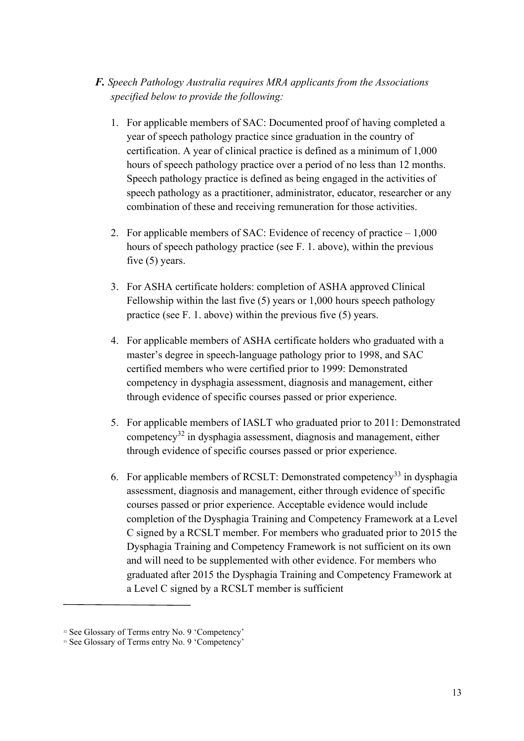#### *F. Speech Pathology Australia requires MRA applicants from the Associations specified below to provide the following:*

- 1. For applicable members of SAC: Documented proof of having completed a year of speech pathology practice since graduation in the country of certification. A year of clinical practice is defined as a minimum of 1,000 hours of speech pathology practice over a period of no less than 12 months. Speech pathology practice is defined as being engaged in the activities of speech pathology as a practitioner, administrator, educator, researcher or any combination of these and receiving remuneration for those activities.
- 2. For applicable members of SAC: Evidence of recency of practice 1,000 hours of speech pathology practice (see F. 1. above), within the previous five (5) years.
- 3. For ASHA certificate holders: completion of ASHA approved Clinical Fellowship within the last five (5) years or 1,000 hours speech pathology practice (see F. 1. above) within the previous five (5) years.
- 4. For applicable members of ASHA certificate holders who graduated with a master's degree in speech-language pathology prior to 1998, and SAC certified members who were certified prior to 1999: Demonstrated competency in dysphagia assessment, diagnosis and management, either through evidence of specific courses passed or prior experience.
- 5. For applicable members of IASLT who graduated prior to 2011: Demonstrated competency32 in dysphagia assessment, diagnosis and management, either through evidence of specific courses passed or prior experience.
- 6. For applicable members of RCSLT: Demonstrated competency<sup>33</sup> in dysphagia assessment, diagnosis and management, either through evidence of specific courses passed or prior experience. Acceptable evidence would include completion of the Dysphagia Training and Competency Framework at a Level C signed by a RCSLT member. For members who graduated prior to 2015 the Dysphagia Training and Competency Framework is not sufficient on its own and will need to be supplemented with other evidence. For members who graduated after 2015 the Dysphagia Training and Competency Framework at a Level C signed by a RCSLT member is sufficient

<sup>&</sup>lt;sup>32</sup> See Glossary of Terms entry No. 9 'Competency'

<sup>&</sup>lt;sup>33</sup> See Glossary of Terms entry No. 9 'Competency'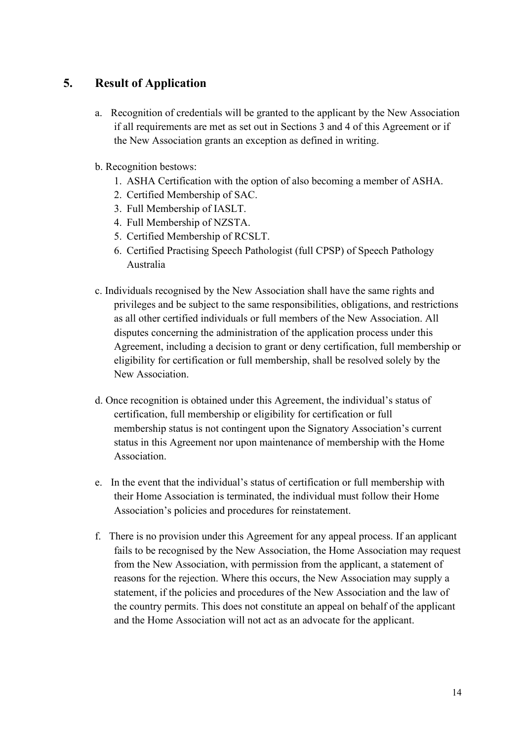### **5. Result of Application**

- a. Recognition of credentials will be granted to the applicant by the New Association if all requirements are met as set out in Sections 3 and 4 of this Agreement or if the New Association grants an exception as defined in writing.
- b. Recognition bestows:
	- 1. ASHA Certification with the option of also becoming a member of ASHA.
	- 2. Certified Membership of SAC.
	- 3. Full Membership of IASLT.
	- 4. Full Membership of NZSTA.
	- 5. Certified Membership of RCSLT.
	- 6. Certified Practising Speech Pathologist (full CPSP) of Speech Pathology Australia
- c. Individuals recognised by the New Association shall have the same rights and privileges and be subject to the same responsibilities, obligations, and restrictions as all other certified individuals or full members of the New Association. All disputes concerning the administration of the application process under this Agreement, including a decision to grant or deny certification, full membership or eligibility for certification or full membership, shall be resolved solely by the New Association.
- d. Once recognition is obtained under this Agreement, the individual's status of certification, full membership or eligibility for certification or full membership status is not contingent upon the Signatory Association's current status in this Agreement nor upon maintenance of membership with the Home Association.
- e. In the event that the individual's status of certification or full membership with their Home Association is terminated, the individual must follow their Home Association's policies and procedures for reinstatement.
- f. There is no provision under this Agreement for any appeal process. If an applicant fails to be recognised by the New Association, the Home Association may request from the New Association, with permission from the applicant, a statement of reasons for the rejection. Where this occurs, the New Association may supply a statement, if the policies and procedures of the New Association and the law of the country permits. This does not constitute an appeal on behalf of the applicant and the Home Association will not act as an advocate for the applicant.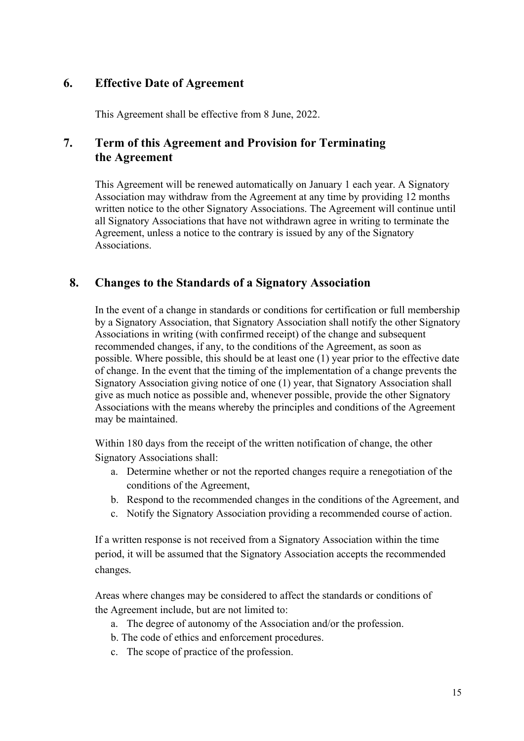#### **6. Effective Date of Agreement**

This Agreement shall be effective from 8 June, 2022.

#### **7. Term of this Agreement and Provision for Terminating the Agreement**

This Agreement will be renewed automatically on January 1 each year. A Signatory Association may withdraw from the Agreement at any time by providing 12 months written notice to the other Signatory Associations. The Agreement will continue until all Signatory Associations that have not withdrawn agree in writing to terminate the Agreement, unless a notice to the contrary is issued by any of the Signatory Associations.

#### **8. Changes to the Standards of a Signatory Association**

In the event of a change in standards or conditions for certification or full membership by a Signatory Association, that Signatory Association shall notify the other Signatory Associations in writing (with confirmed receipt) of the change and subsequent recommended changes, if any, to the conditions of the Agreement, as soon as possible. Where possible, this should be at least one (1) year prior to the effective date of change. In the event that the timing of the implementation of a change prevents the Signatory Association giving notice of one (1) year, that Signatory Association shall give as much notice as possible and, whenever possible, provide the other Signatory Associations with the means whereby the principles and conditions of the Agreement may be maintained.

Within 180 days from the receipt of the written notification of change, the other Signatory Associations shall:

- a. Determine whether or not the reported changes require a renegotiation of the conditions of the Agreement,
- b. Respond to the recommended changes in the conditions of the Agreement, and
- c. Notify the Signatory Association providing a recommended course of action.

If a written response is not received from a Signatory Association within the time period, it will be assumed that the Signatory Association accepts the recommended changes*.*

Areas where changes may be considered to affect the standards or conditions of the Agreement include, but are not limited to:

- a. The degree of autonomy of the Association and/or the profession.
- b. The code of ethics and enforcement procedures.
- c. The scope of practice of the profession.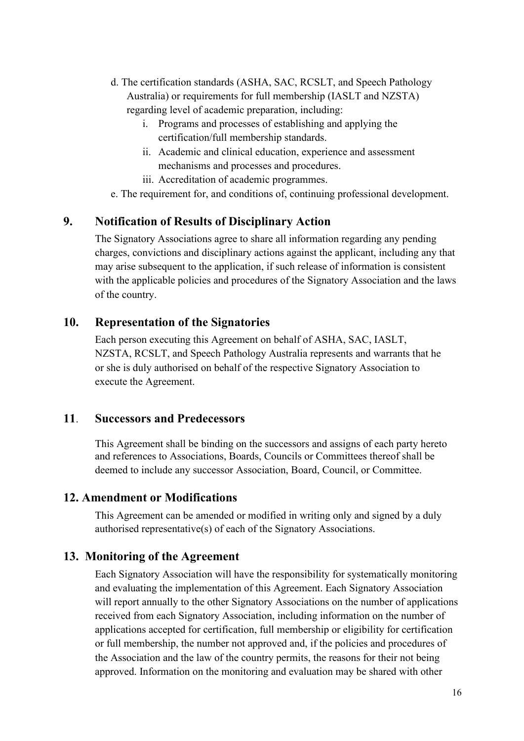- d. The certification standards (ASHA, SAC, RCSLT, and Speech Pathology Australia) or requirements for full membership (IASLT and NZSTA) regarding level of academic preparation, including:
	- i. Programs and processes of establishing and applying the certification/full membership standards.
	- ii. Academic and clinical education, experience and assessment mechanisms and processes and procedures.
	- iii. Accreditation of academic programmes.

e. The requirement for, and conditions of, continuing professional development.

#### **9. Notification of Results of Disciplinary Action**

The Signatory Associations agree to share all information regarding any pending charges, convictions and disciplinary actions against the applicant, including any that may arise subsequent to the application, if such release of information is consistent with the applicable policies and procedures of the Signatory Association and the laws of the country.

#### **10. Representation of the Signatories**

Each person executing this Agreement on behalf of ASHA, SAC, IASLT, NZSTA, RCSLT, and Speech Pathology Australia represents and warrants that he or she is duly authorised on behalf of the respective Signatory Association to execute the Agreement.

#### **11**. **Successors and Predecessors**

This Agreement shall be binding on the successors and assigns of each party hereto and references to Associations, Boards, Councils or Committees thereof shall be deemed to include any successor Association, Board, Council, or Committee.

#### **12. Amendment or Modifications**

This Agreement can be amended or modified in writing only and signed by a duly authorised representative(s) of each of the Signatory Associations.

#### **13. Monitoring of the Agreement**

Each Signatory Association will have the responsibility for systematically monitoring and evaluating the implementation of this Agreement. Each Signatory Association will report annually to the other Signatory Associations on the number of applications received from each Signatory Association, including information on the number of applications accepted for certification, full membership or eligibility for certification or full membership, the number not approved and, if the policies and procedures of the Association and the law of the country permits, the reasons for their not being approved. Information on the monitoring and evaluation may be shared with other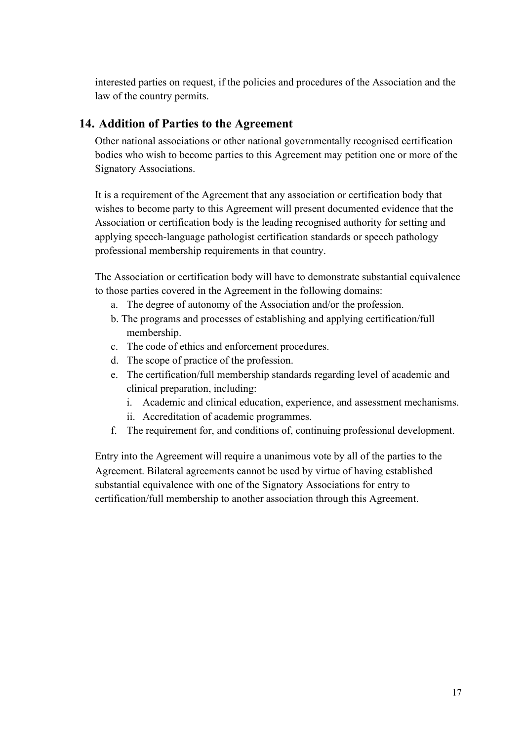interested parties on request, if the policies and procedures of the Association and the law of the country permits.

### **14. Addition of Parties to the Agreement**

Other national associations or other national governmentally recognised certification bodies who wish to become parties to this Agreement may petition one or more of the Signatory Associations.

It is a requirement of the Agreement that any association or certification body that wishes to become party to this Agreement will present documented evidence that the Association or certification body is the leading recognised authority for setting and applying speech-language pathologist certification standards or speech pathology professional membership requirements in that country.

The Association or certification body will have to demonstrate substantial equivalence to those parties covered in the Agreement in the following domains:

- a. The degree of autonomy of the Association and/or the profession.
- b. The programs and processes of establishing and applying certification/full membership.
- c. The code of ethics and enforcement procedures.
- d. The scope of practice of the profession.
- e. The certification/full membership standards regarding level of academic and clinical preparation, including:
	- i. Academic and clinical education, experience, and assessment mechanisms.
	- ii. Accreditation of academic programmes.
- f. The requirement for, and conditions of, continuing professional development.

Entry into the Agreement will require a unanimous vote by all of the parties to the Agreement. Bilateral agreements cannot be used by virtue of having established substantial equivalence with one of the Signatory Associations for entry to certification/full membership to another association through this Agreement.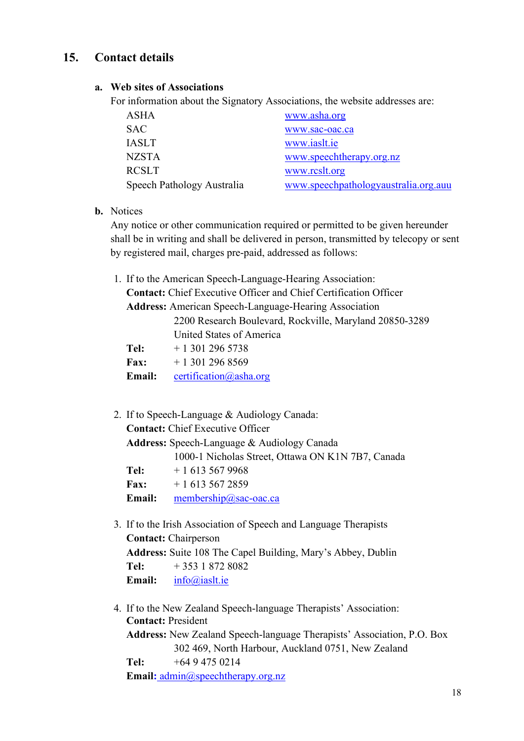### **15. Contact details**

#### **a. Web sites of Associations**

For information about the Signatory Associations, the website addresses are:

| ASHA                       | www.asha.org                         |
|----------------------------|--------------------------------------|
| <b>SAC</b>                 | www.sac-oac.ca                       |
| <b>IASLT</b>               | www.iaslt.ie                         |
| <b>NZSTA</b>               | www.speechtherapy.org.nz             |
| <b>RCSLT</b>               | www.rcslt.org                        |
| Speech Pathology Australia | www.speechpathologyaustralia.org.auu |

**b.** Notices

Any notice or other communication required or permitted to be given hereunder shall be in writing and shall be delivered in person, transmitted by telecopy or sent by registered mail, charges pre-paid, addressed as follows:

| 1. If to the American Speech-Language-Hearing Association:              |                                                         |  |
|-------------------------------------------------------------------------|---------------------------------------------------------|--|
| <b>Contact:</b> Chief Executive Officer and Chief Certification Officer |                                                         |  |
| <b>Address:</b> American Speech-Language-Hearing Association            |                                                         |  |
|                                                                         | 2200 Research Boulevard, Rockville, Maryland 20850-3289 |  |
|                                                                         | United States of America                                |  |
| Tel:                                                                    | $+13012965738$                                          |  |
| <b>Fax:</b>                                                             | $+13012968569$                                          |  |
| Email:                                                                  | certification@asha.org                                  |  |

| 2. If to Speech-Language & Audiology Canada:       |                                                   |  |  |
|----------------------------------------------------|---------------------------------------------------|--|--|
| <b>Contact:</b> Chief Executive Officer            |                                                   |  |  |
| <b>Address:</b> Speech-Language & Audiology Canada |                                                   |  |  |
|                                                    | 1000-1 Nicholas Street, Ottawa ON K1N 7B7, Canada |  |  |
| Tel:                                               | $+16135679968$                                    |  |  |
| <b>Fax:</b>                                        | $+16135672859$                                    |  |  |
| Email:                                             | membership@sac-oac.ca                             |  |  |

- 3. If to the Irish Association of Speech and Language Therapists **Contact:** Chairperson **Address:** Suite 108 The Capel Building, Mary's Abbey, Dublin **Tel:** + 353 1 872 8082 **Email:** [info@iaslt.ie](mailto:info@iaslt.ie)
- 4. If to the New Zealand Speech-language Therapists' Association: **Contact:** President **Address:** New Zealand Speech-language Therapists' Association, P.O. Box 302 469, North Harbour, Auckland 0751, New Zealand **Tel:** +64 9 475 0214 **[Email:](about:blank)** admin@speechtherapy.org.[nz](mailto:admin@speechtherapy.org.nz)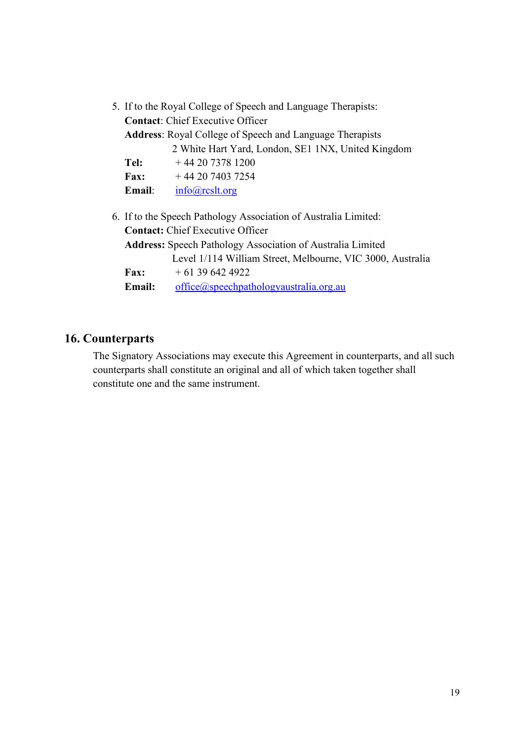|                                                                 | 5. If to the Royal College of Speech and Language Therapists:     |                                                                   |  |  |
|-----------------------------------------------------------------|-------------------------------------------------------------------|-------------------------------------------------------------------|--|--|
|                                                                 | <b>Contact:</b> Chief Executive Officer                           |                                                                   |  |  |
| <b>Address:</b> Royal College of Speech and Language Therapists |                                                                   |                                                                   |  |  |
|                                                                 |                                                                   | 2 White Hart Yard, London, SE1 1NX, United Kingdom                |  |  |
|                                                                 | Tel:                                                              | $+442073781200$                                                   |  |  |
|                                                                 | <b>Fax:</b>                                                       | + 44 20 7403 7254                                                 |  |  |
|                                                                 | <b>Email:</b>                                                     | info@rcslt.org                                                    |  |  |
|                                                                 |                                                                   | 6. If to the Speech Pathology Association of Australia Limited:   |  |  |
|                                                                 | <b>Contact:</b> Chief Executive Officer                           |                                                                   |  |  |
|                                                                 | <b>Address:</b> Speech Pathology Association of Australia Limited |                                                                   |  |  |
|                                                                 |                                                                   | Level 1/114 William Street, Melbourne, VIC 3000, Australia        |  |  |
|                                                                 | <b>Fax:</b>                                                       | $+61396424922$                                                    |  |  |
|                                                                 | Email:                                                            | $of\text{fice}(\text{Q}\text{gpeech pathology australia.org.au})$ |  |  |
|                                                                 |                                                                   |                                                                   |  |  |

### **16. Counterparts**

The Signatory Associations may execute this Agreement in counterparts, and all such counterparts shall constitute an original and all of which taken together shall constitute one and the same instrument.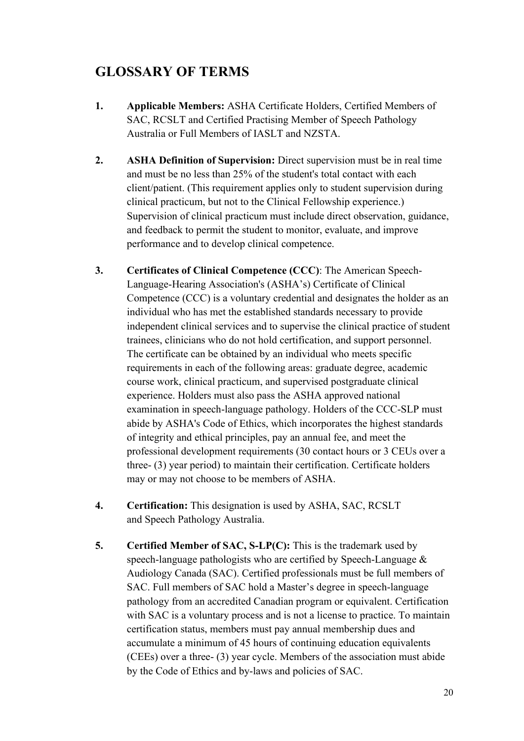### **GLOSSARY OF TERMS**

- **1. Applicable Members:** ASHA Certificate Holders, Certified Members of SAC, RCSLT and Certified Practising Member of Speech Pathology Australia or Full Members of IASLT and NZSTA.
- **2. ASHA Definition of Supervision:** Direct supervision must be in real time and must be no less than 25% of the student's total contact with each client/patient. (This requirement applies only to student supervision during clinical practicum, but not to the Clinical Fellowship experience.) Supervision of clinical practicum must include direct observation, guidance, and feedback to permit the student to monitor, evaluate, and improve performance and to develop clinical competence.
- **3. Certificates of Clinical Competence (CCC)**: The American Speech-Language-Hearing Association's (ASHA's) Certificate of Clinical Competence (CCC) is a voluntary credential and designates the holder as an individual who has met the established standards necessary to provide independent clinical services and to supervise the clinical practice of student trainees, clinicians who do not hold certification, and support personnel. The certificate can be obtained by an individual who meets specific requirements in each of the following areas: graduate degree, academic course work, clinical practicum, and supervised postgraduate clinical experience. Holders must also pass the ASHA approved national examination in speech-language pathology. Holders of the CCC-SLP must abide by ASHA's Code of Ethics, which incorporates the highest standards of integrity and ethical principles, pay an annual fee, and meet the professional development requirements (30 contact hours or 3 CEUs over a three- (3) year period) to maintain their certification. Certificate holders may or may not choose to be members of ASHA.
- **4. Certification:** This designation is used by ASHA, SAC, RCSLT and Speech Pathology Australia.
- **5. Certified Member of SAC, S-LP(C):** This is the trademark used by speech-language pathologists who are certified by Speech-Language & Audiology Canada (SAC). Certified professionals must be full members of SAC. Full members of SAC hold a Master's degree in speech-language pathology from an accredited Canadian program or equivalent. Certification with SAC is a voluntary process and is not a license to practice. To maintain certification status, members must pay annual membership dues and accumulate a minimum of 45 hours of continuing education equivalents (CEEs) over a three- (3) year cycle. Members of the association must abide by the Code of Ethics and by-laws and policies of SAC.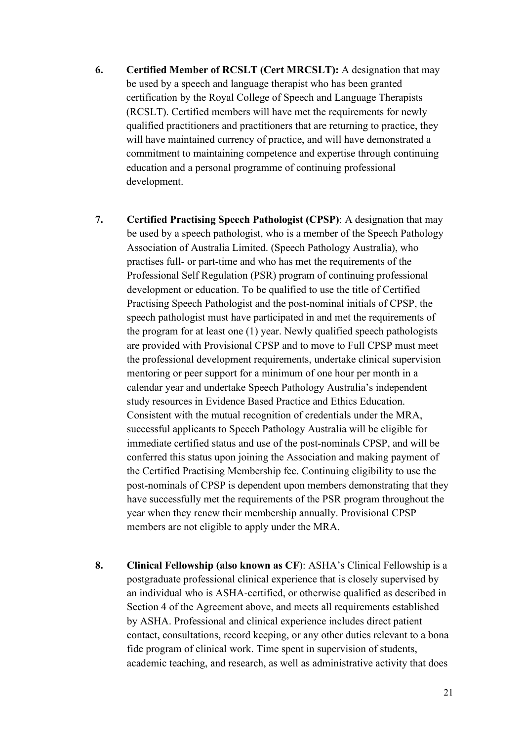- **6. Certified Member of RCSLT (Cert MRCSLT):** A designation that may be used by a speech and language therapist who has been granted certification by the Royal College of Speech and Language Therapists (RCSLT). Certified members will have met the requirements for newly qualified practitioners and practitioners that are returning to practice, they will have maintained currency of practice, and will have demonstrated a commitment to maintaining competence and expertise through continuing education and a personal programme of continuing professional development.
- **7. Certified Practising Speech Pathologist (CPSP)**: A designation that may be used by a speech pathologist, who is a member of the Speech Pathology Association of Australia Limited. (Speech Pathology Australia), who practises full- or part-time and who has met the requirements of the Professional Self Regulation (PSR) program of continuing professional development or education. To be qualified to use the title of Certified Practising Speech Pathologist and the post-nominal initials of CPSP, the speech pathologist must have participated in and met the requirements of the program for at least one (1) year. Newly qualified speech pathologists are provided with Provisional CPSP and to move to Full CPSP must meet the professional development requirements, undertake clinical supervision mentoring or peer support for a minimum of one hour per month in a calendar year and undertake Speech Pathology Australia's independent study resources in Evidence Based Practice and Ethics Education. Consistent with the mutual recognition of credentials under the MRA, successful applicants to Speech Pathology Australia will be eligible for immediate certified status and use of the post-nominals CPSP, and will be conferred this status upon joining the Association and making payment of the Certified Practising Membership fee. Continuing eligibility to use the post-nominals of CPSP is dependent upon members demonstrating that they have successfully met the requirements of the PSR program throughout the year when they renew their membership annually. Provisional CPSP members are not eligible to apply under the MRA.
- **8. Clinical Fellowship (also known as CF**): ASHA's Clinical Fellowship is a postgraduate professional clinical experience that is closely supervised by an individual who is ASHA-certified, or otherwise qualified as described in Section 4 of the Agreement above, and meets all requirements established by ASHA. Professional and clinical experience includes direct patient contact, consultations, record keeping, or any other duties relevant to a bona fide program of clinical work. Time spent in supervision of students, academic teaching, and research, as well as administrative activity that does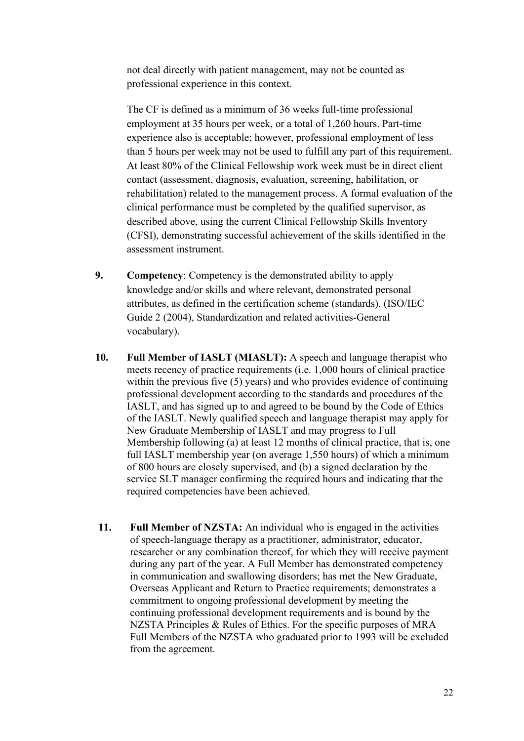not deal directly with patient management, may not be counted as professional experience in this context.

The CF is defined as a minimum of 36 weeks full-time professional employment at 35 hours per week, or a total of 1,260 hours. Part-time experience also is acceptable; however, professional employment of less than 5 hours per week may not be used to fulfill any part of this requirement. At least 80% of the Clinical Fellowship work week must be in direct client contact (assessment, diagnosis, evaluation, screening, habilitation, or rehabilitation) related to the management process. A formal evaluation of the clinical performance must be completed by the qualified supervisor, as described above, using the current Clinical Fellowship Skills Inventory (CFSI), demonstrating successful achievement of the skills identified in the assessment instrument.

- **9. Competency**: Competency is the demonstrated ability to apply knowledge and/or skills and where relevant, demonstrated personal attributes, as defined in the certification scheme (standards). (ISO/IEC Guide 2 (2004), Standardization and related activities-General vocabulary).
- **10. Full Member of IASLT (MIASLT):** A speech and language therapist who meets recency of practice requirements (i.e. 1,000 hours of clinical practice within the previous five (5) years) and who provides evidence of continuing professional development according to the standards and procedures of the IASLT, and has signed up to and agreed to be bound by the Code of Ethics of the IASLT. Newly qualified speech and language therapist may apply for New Graduate Membership of IASLT and may progress to Full Membership following (a) at least 12 months of clinical practice, that is, one full IASLT membership year (on average 1,550 hours) of which a minimum of 800 hours are closely supervised, and (b) a signed declaration by the service SLT manager confirming the required hours and indicating that the required competencies have been achieved.
- **11. Full Member of NZSTA:** An individual who is engaged in the activities of speech-language therapy as a practitioner, administrator, educator, researcher or any combination thereof, for which they will receive payment during any part of the year. A Full Member has demonstrated competency in communication and swallowing disorders; has met the New Graduate, Overseas Applicant and Return to Practice requirements; demonstrates a commitment to ongoing professional development by meeting the continuing professional development requirements and is bound by the NZSTA Principles & Rules of Ethics. For the specific purposes of MRA Full Members of the NZSTA who graduated prior to 1993 will be excluded from the agreement.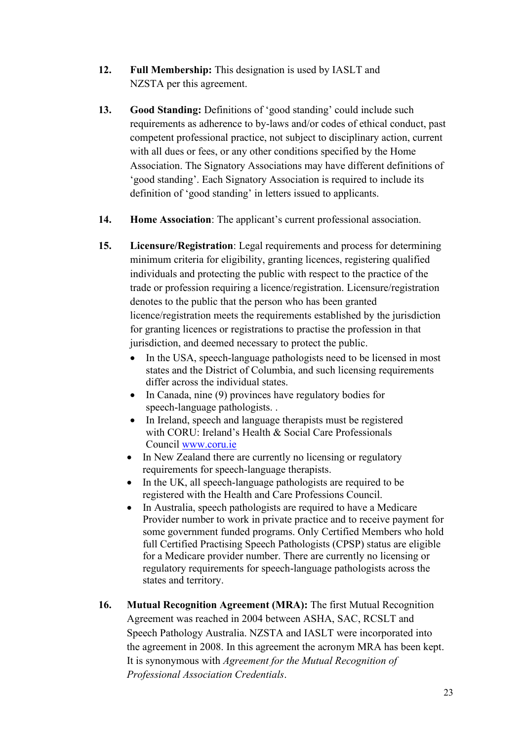- **12. Full Membership:** This designation is used by IASLT and NZSTA per this agreement.
- 13. **Good Standing:** Definitions of 'good standing' could include such requirements as adherence to by-laws and/or codes of ethical conduct, past competent professional practice, not subject to disciplinary action, current with all dues or fees, or any other conditions specified by the Home Association. The Signatory Associations may have different definitions of 'good standing'. Each Signatory Association is required to include its definition of 'good standing' in letters issued to applicants.
- **14. Home Association**: The applicant's current professional association.
- **15. Licensure/Registration**: Legal requirements and process for determining minimum criteria for eligibility, granting licences, registering qualified individuals and protecting the public with respect to the practice of the trade or profession requiring a licence/registration. Licensure/registration denotes to the public that the person who has been granted licence/registration meets the requirements established by the jurisdiction for granting licences or registrations to practise the profession in that jurisdiction, and deemed necessary to protect the public.
	- In the USA, speech-language pathologists need to be licensed in most states and the District of Columbia, and such licensing requirements differ across the individual states.
	- In Canada, nine (9) provinces have regulatory bodies for speech-language pathologists. .
	- In Ireland, speech and language therapists must be registered with CORU: Ireland's Health & Social Care Professionals Council [www.coru.ie](http://www.coru.ie/)
	- In New Zealand there are currently no licensing or regulatory requirements for speech-language therapists.
	- In the UK, all speech-language pathologists are required to be registered with the Health and Care Professions Council.
	- In Australia, speech pathologists are required to have a Medicare Provider number to work in private practice and to receive payment for some government funded programs. Only Certified Members who hold full Certified Practising Speech Pathologists (CPSP) status are eligible for a Medicare provider number. There are currently no licensing or regulatory requirements for speech-language pathologists across the states and territory.
- **16. Mutual Recognition Agreement (MRA):** The first Mutual Recognition Agreement was reached in 2004 between ASHA, SAC, RCSLT and Speech Pathology Australia. NZSTA and IASLT were incorporated into the agreement in 2008. In this agreement the acronym MRA has been kept. It is synonymous with *Agreement for the Mutual Recognition of Professional Association Credentials*.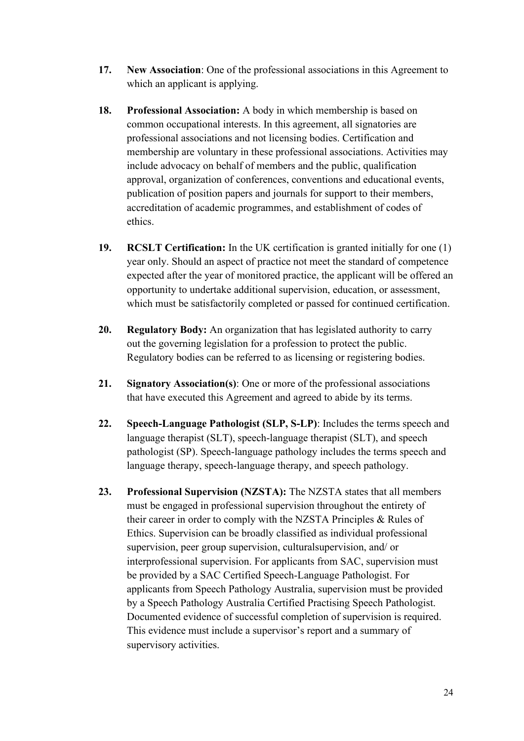- **17. New Association**: One of the professional associations in this Agreement to which an applicant is applying.
- **18. Professional Association:** A body in which membership is based on common occupational interests. In this agreement, all signatories are professional associations and not licensing bodies. Certification and membership are voluntary in these professional associations. Activities may include advocacy on behalf of members and the public, qualification approval, organization of conferences, conventions and educational events, publication of position papers and journals for support to their members, accreditation of academic programmes, and establishment of codes of ethics.
- **19. RCSLT Certification:** In the UK certification is granted initially for one (1) year only. Should an aspect of practice not meet the standard of competence expected after the year of monitored practice, the applicant will be offered an opportunity to undertake additional supervision, education, or assessment, which must be satisfactorily completed or passed for continued certification.
- **20. Regulatory Body:** An organization that has legislated authority to carry out the governing legislation for a profession to protect the public. Regulatory bodies can be referred to as licensing or registering bodies.
- **21. Signatory Association(s)**: One or more of the professional associations that have executed this Agreement and agreed to abide by its terms.
- **22. Speech-Language Pathologist (SLP, S-LP)**: Includes the terms speech and language therapist (SLT), speech-language therapist (SLT), and speech pathologist (SP). Speech-language pathology includes the terms speech and language therapy, speech-language therapy, and speech pathology.
- **23. Professional Supervision (NZSTA):** The NZSTA states that all members must be engaged in professional supervision throughout the entirety of their career in order to comply with the NZSTA Principles & Rules of Ethics. Supervision can be broadly classified as individual professional supervision, peer group supervision, culturalsupervision, and/ or interprofessional supervision. For applicants from SAC, supervision must be provided by a SAC Certified Speech-Language Pathologist. For applicants from Speech Pathology Australia, supervision must be provided by a Speech Pathology Australia Certified Practising Speech Pathologist. Documented evidence of successful completion of supervision is required. This evidence must include a supervisor's report and a summary of supervisory activities.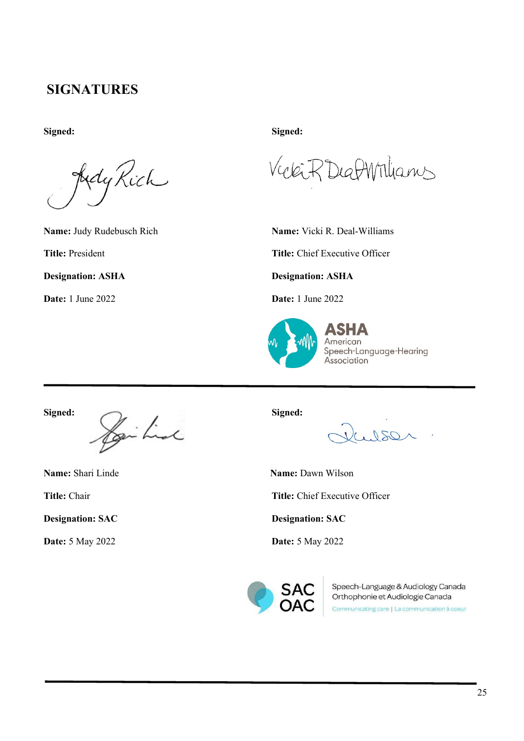# **SIGNATURES**

**Signed: Signed:**

Idy Rich

DeafWilliams  $(46 -$ 

**Name:** Judy Rudebusch Rich **Name:** Vicki R. Deal-Williams

**Title:** President **Title:** Chief Executive Officer

**Designation: ASHA Designation: ASHA**

**Date:** 1 June 2022 **Date:** 1 June 2022



**Signed: Signed:**

**Designation: SAC Designation: SAC**

 $OS0$ 

**Name:** Shari Linde **Name:** Dawn Wilson

**Title:** Chair **Title:** Chief Executive Officer

**Date:** 5 May 2022 **Date:** 5 May 2022



Speech-Language & Audiology Canada Orthophonie et Audiologie Canada

Communicating care | La communication à coeur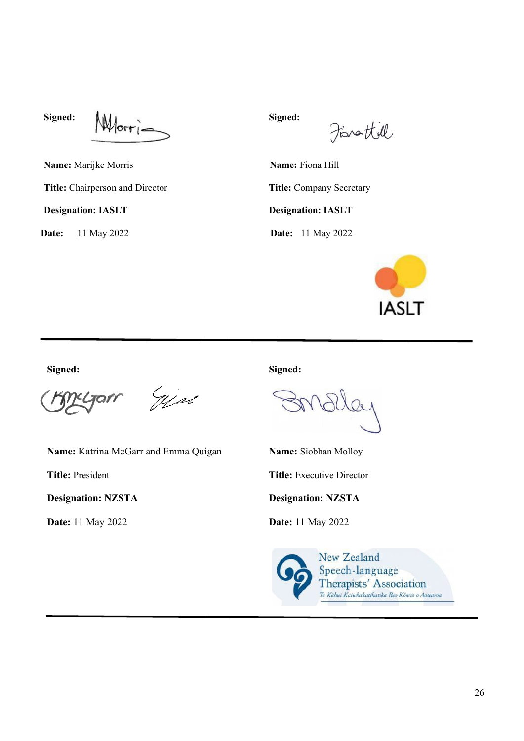Signed: **Whore** 

Finattill

**Name:** Marijke Morris **Name:** Fiona Hill Title: Chairperson and Director **Title: Company Secretary Designation: IASLT Designation: IASLT**

**Date:** 11 May 2022 **Date:** 11 May 2022



**Signed: Signed:**

Yest

**Name:** Katrina McGarr and Emma Quigan **Name:** Siobhan Molloy

**Designation: NZSTA Designation: NZSTA**

**Date:** 11 May 2022 **Date:** 11 May 2022

**Title:** President **Title:** Executive Director

New Zealand Speech-language Therapists' Association .<br>Te Kâhui Kaiwhakatikatika Reo Körero o Aotearoa